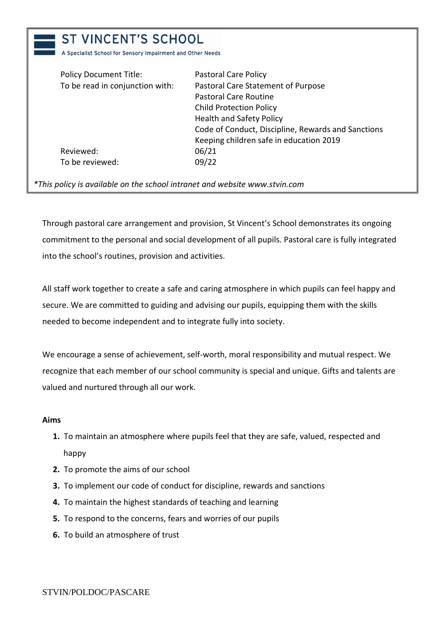| A Specialist School for Sensory Impairment and Other Needs |                                                    |
|------------------------------------------------------------|----------------------------------------------------|
| <b>Policy Document Title:</b>                              | Pastoral Care Policy                               |
| To be read in conjunction with:                            | Pastoral Care Statement of Purpose                 |
|                                                            | Pastoral Care Routine                              |
|                                                            | <b>Child Protection Policy</b>                     |
|                                                            | <b>Health and Safety Policy</b>                    |
|                                                            | Code of Conduct, Discipline, Rewards and Sanctions |
|                                                            | Keeping children safe in education 2019            |
| Reviewed:                                                  | 06/21                                              |
| To be reviewed:                                            | 09/22                                              |

 $\blacksquare$ 

Through pastoral care arrangement and provision, St Vincent's School demonstrates its ongoing commitment to the personal and social development of all pupils. Pastoral care is fully integrated into the school's routines, provision and activities.

All staff work together to create a safe and caring atmosphere in which pupils can feel happy and secure. We are committed to guiding and advising our pupils, equipping them with the skills needed to become independent and to integrate fully into society.

We encourage a sense of achievement, self-worth, moral responsibility and mutual respect. We recognize that each member of our school community is special and unique. Gifts and talents are valued and nurtured through all our work.

## **Aims**

- **1.** To maintain an atmosphere where pupils feel that they are safe, valued, respected and happy
- **2.** To promote the aims of our school
- **3.** To implement our code of conduct for discipline, rewards and sanctions
- **4.** To maintain the highest standards of teaching and learning
- **5.** To respond to the concerns, fears and worries of our pupils
- **6.** To build an atmosphere of trust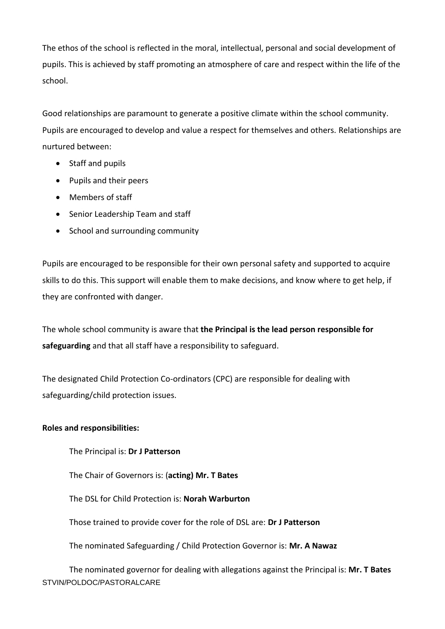The ethos of the school is reflected in the moral, intellectual, personal and social development of pupils. This is achieved by staff promoting an atmosphere of care and respect within the life of the school.

Good relationships are paramount to generate a positive climate within the school community. Pupils are encouraged to develop and value a respect for themselves and others. Relationships are nurtured between:

- Staff and pupils
- Pupils and their peers
- Members of staff
- Senior Leadership Team and staff
- School and surrounding community

Pupils are encouraged to be responsible for their own personal safety and supported to acquire skills to do this. This support will enable them to make decisions, and know where to get help, if they are confronted with danger.

The whole school community is aware that **the Principal is the lead person responsible for safeguarding** and that all staff have a responsibility to safeguard.

The designated Child Protection Co-ordinators (CPC) are responsible for dealing with safeguarding/child protection issues.

## **Roles and responsibilities:**

The Principal is: **Dr J Patterson**

The Chair of Governors is: (**acting) Mr. T Bates**

The DSL for Child Protection is: **Norah Warburton** 

Those trained to provide cover for the role of DSL are: **Dr J Patterson**

The nominated Safeguarding / Child Protection Governor is: **Mr. A Nawaz**

STVIN/POLDOC/PASTORALCARE The nominated governor for dealing with allegations against the Principal is: **Mr. T Bates**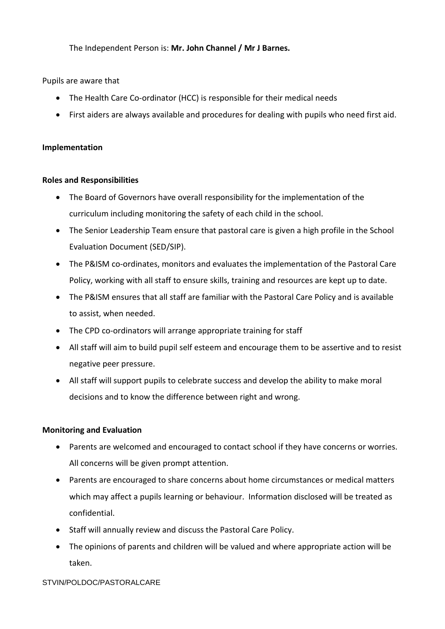The Independent Person is: **Mr. John Channel / Mr J Barnes.**

Pupils are aware that

- The Health Care Co-ordinator (HCC) is responsible for their medical needs
- First aiders are always available and procedures for dealing with pupils who need first aid.

### **Implementation**

#### **Roles and Responsibilities**

- The Board of Governors have overall responsibility for the implementation of the curriculum including monitoring the safety of each child in the school.
- The Senior Leadership Team ensure that pastoral care is given a high profile in the School Evaluation Document (SED/SIP).
- The P&ISM co-ordinates, monitors and evaluates the implementation of the Pastoral Care Policy, working with all staff to ensure skills, training and resources are kept up to date.
- The P&ISM ensures that all staff are familiar with the Pastoral Care Policy and is available to assist, when needed.
- The CPD co-ordinators will arrange appropriate training for staff
- All staff will aim to build pupil self esteem and encourage them to be assertive and to resist negative peer pressure.
- All staff will support pupils to celebrate success and develop the ability to make moral decisions and to know the difference between right and wrong.

## **Monitoring and Evaluation**

- Parents are welcomed and encouraged to contact school if they have concerns or worries. All concerns will be given prompt attention.
- Parents are encouraged to share concerns about home circumstances or medical matters which may affect a pupils learning or behaviour. Information disclosed will be treated as confidential.
- Staff will annually review and discuss the Pastoral Care Policy.
- The opinions of parents and children will be valued and where appropriate action will be taken.